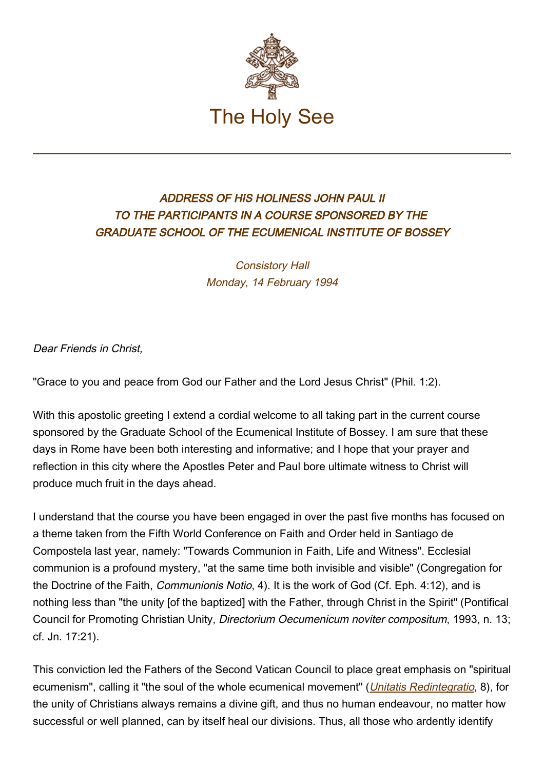

## ADDRESS OF HIS HOLINESS JOHN PAUL II TO THE PARTICIPANTS IN A COURSE SPONSORED BY THE GRADUATE SCHOOL OF THE ECUMENICAL INSTITUTE OF BOSSEY

Consistory Hall Monday, 14 February 1994

Dear Friends in Christ,

"Grace to you and peace from God our Father and the Lord Jesus Christ" (Phil. 1:2).

With this apostolic greeting I extend a cordial welcome to all taking part in the current course sponsored by the Graduate School of the Ecumenical Institute of Bossey. I am sure that these days in Rome have been both interesting and informative; and I hope that your prayer and reflection in this city where the Apostles Peter and Paul bore ultimate witness to Christ will produce much fruit in the days ahead.

I understand that the course you have been engaged in over the past five months has focused on a theme taken from the Fifth World Conference on Faith and Order held in Santiago de Compostela last year, namely: "Towards Communion in Faith, Life and Witness". Ecclesial communion is a profound mystery, "at the same time both invisible and visible" (Congregation for the Doctrine of the Faith, Communionis Notio, 4). It is the work of God (Cf. Eph. 4:12), and is nothing less than "the unity [of the baptized] with the Father, through Christ in the Spirit" (Pontifical Council for Promoting Christian Unity, Directorium Oecumenicum noviter compositum, 1993, n. 13; cf. Jn. 17:21).

This conviction led the Fathers of the Second Vatican Council to place great emphasis on "spiritual ecumenism", calling it "the soul of the whole ecumenical movement" (*[Unitatis Redintegratio](http://localhost/archive/hist_councils/ii_vatican_council/documents/vat-ii_decree_19641121_unitatis-redintegratio_en.html)*, 8), for the unity of Christians always remains a divine gift, and thus no human endeavour, no matter how successful or well planned, can by itself heal our divisions. Thus, all those who ardently identify